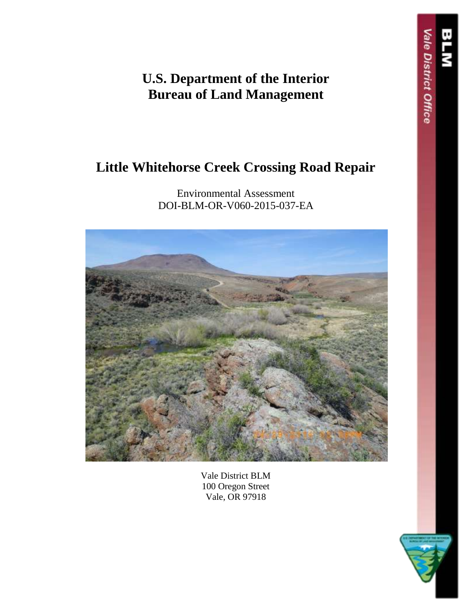**U.S. Department of the Interior Bureau of Land Management**

# **Little Whitehorse Creek Crossing Road Repair**

Environmental Assessment DOI-BLM-OR-V060-2015-037-EA



Vale District BLM 100 Oregon Street Vale, OR 97918



ale District Office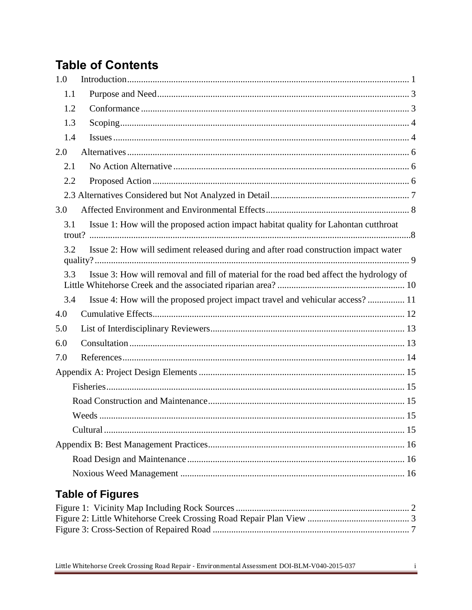# **Table of Contents**

| 1.0                                                                                            |  |
|------------------------------------------------------------------------------------------------|--|
| 1.1                                                                                            |  |
| 1.2                                                                                            |  |
| 1.3                                                                                            |  |
| 1.4                                                                                            |  |
| 2.0                                                                                            |  |
| 2.1                                                                                            |  |
| 2.2                                                                                            |  |
|                                                                                                |  |
| 3.0                                                                                            |  |
| Issue 1: How will the proposed action impact habitat quality for Lahontan cutthroat<br>3.1     |  |
| Issue 2: How will sediment released during and after road construction impact water<br>3.2     |  |
| Issue 3: How will removal and fill of material for the road bed affect the hydrology of<br>3.3 |  |
| Issue 4: How will the proposed project impact travel and vehicular access? 11<br>3.4           |  |
| 4.0                                                                                            |  |
| 5.0                                                                                            |  |
| 6.0                                                                                            |  |
| 7.0                                                                                            |  |
|                                                                                                |  |
|                                                                                                |  |
|                                                                                                |  |
|                                                                                                |  |
|                                                                                                |  |
|                                                                                                |  |
|                                                                                                |  |
|                                                                                                |  |
| <b>Table of Figures</b>                                                                        |  |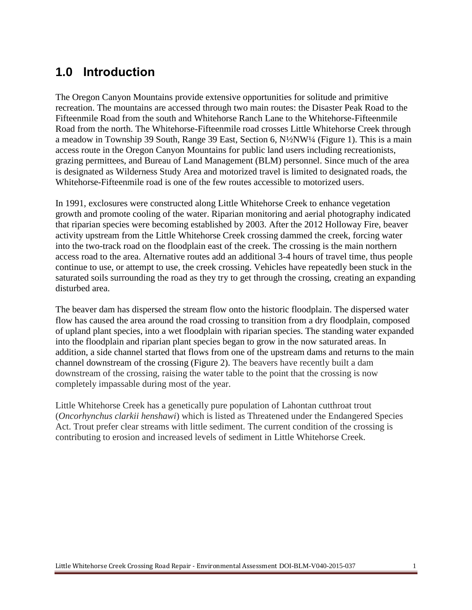# <span id="page-2-0"></span>**1.0 Introduction**

The Oregon Canyon Mountains provide extensive opportunities for solitude and primitive recreation. The mountains are accessed through two main routes: the Disaster Peak Road to the Fifteenmile Road from the south and Whitehorse Ranch Lane to the Whitehorse-Fifteenmile Road from the north. The Whitehorse-Fifteenmile road crosses Little Whitehorse Creek through a meadow in Township 39 South, Range 39 East, Section 6, N½NW¼ (Figure 1). This is a main access route in the Oregon Canyon Mountains for public land users including recreationists, grazing permittees, and Bureau of Land Management (BLM) personnel. Since much of the area is designated as Wilderness Study Area and motorized travel is limited to designated roads, the Whitehorse-Fifteenmile road is one of the few routes accessible to motorized users.

In 1991, exclosures were constructed along Little Whitehorse Creek to enhance vegetation growth and promote cooling of the water. Riparian monitoring and aerial photography indicated that riparian species were becoming established by 2003. After the 2012 Holloway Fire, beaver activity upstream from the Little Whitehorse Creek crossing dammed the creek, forcing water into the two-track road on the floodplain east of the creek. The crossing is the main northern access road to the area. Alternative routes add an additional 3-4 hours of travel time, thus people continue to use, or attempt to use, the creek crossing. Vehicles have repeatedly been stuck in the saturated soils surrounding the road as they try to get through the crossing, creating an expanding disturbed area.

The beaver dam has dispersed the stream flow onto the historic floodplain. The dispersed water flow has caused the area around the road crossing to transition from a dry floodplain, composed of upland plant species, into a wet floodplain with riparian species. The standing water expanded into the floodplain and riparian plant species began to grow in the now saturated areas. In addition, a side channel started that flows from one of the upstream dams and returns to the main channel downstream of the crossing (Figure 2). The beavers have recently built a dam downstream of the crossing, raising the water table to the point that the crossing is now completely impassable during most of the year.

Little Whitehorse Creek has a genetically pure population of Lahontan cutthroat trout (*Oncorhynchus clarkii henshawi*) which is listed as Threatened under the Endangered Species Act. Trout prefer clear streams with little sediment. The current condition of the crossing is contributing to erosion and increased levels of sediment in Little Whitehorse Creek.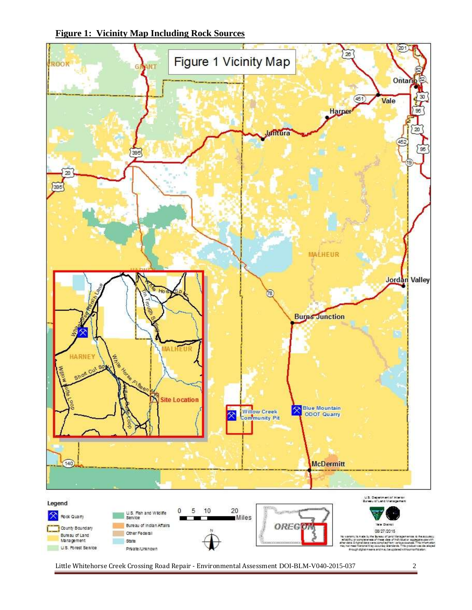<span id="page-3-0"></span>



Little Whitehorse Creek Crossing Road Repair - Environmental Assessment DOI-BLM-V040-2015-037 2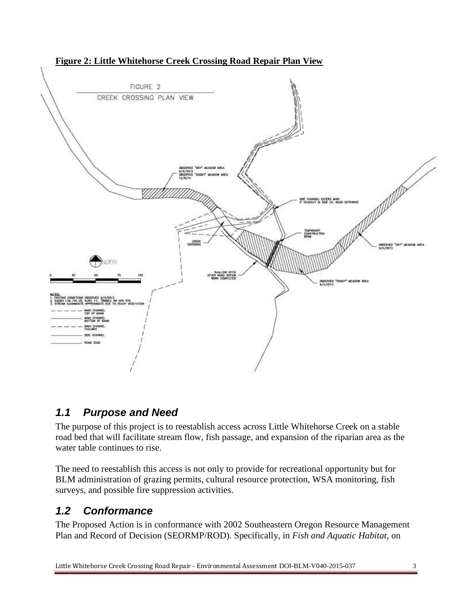![](_page_4_Figure_0.jpeg)

#### <span id="page-4-2"></span>**Figure 2: Little Whitehorse Creek Crossing Road Repair Plan View**

#### <span id="page-4-0"></span>*1.1 Purpose and Need*

The purpose of this project is to reestablish access across Little Whitehorse Creek on a stable road bed that will facilitate stream flow, fish passage, and expansion of the riparian area as the water table continues to rise.

The need to reestablish this access is not only to provide for recreational opportunity but for BLM administration of grazing permits, cultural resource protection, WSA monitoring, fish surveys, and possible fire suppression activities.

### <span id="page-4-1"></span>*1.2 Conformance*

The Proposed Action is in conformance with 2002 Southeastern Oregon Resource Management Plan and Record of Decision (SEORMP/ROD). Specifically, in *Fish and Aquatic Habitat*, on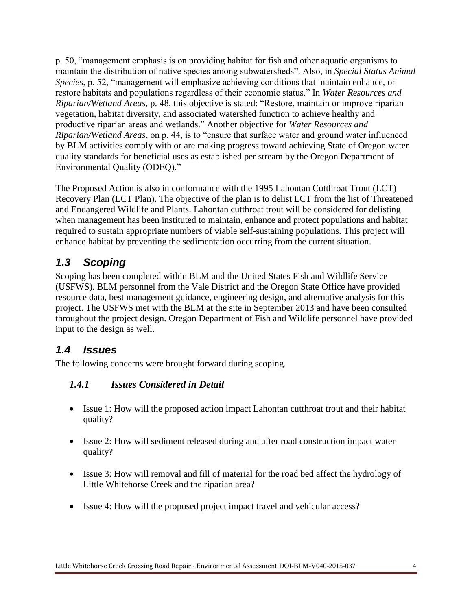p. 50, "management emphasis is on providing habitat for fish and other aquatic organisms to maintain the distribution of native species among subwatersheds". Also, in *Special Status Animal Species*, p. 52, "management will emphasize achieving conditions that maintain enhance, or restore habitats and populations regardless of their economic status." In *Water Resources and Riparian/Wetland Areas*, p. 48, this objective is stated: "Restore, maintain or improve riparian vegetation, habitat diversity, and associated watershed function to achieve healthy and productive riparian areas and wetlands." Another objective for *Water Resources and Riparian/Wetland Areas*, on p. 44, is to "ensure that surface water and ground water influenced by BLM activities comply with or are making progress toward achieving State of Oregon water quality standards for beneficial uses as established per stream by the Oregon Department of Environmental Quality (ODEQ)."

The Proposed Action is also in conformance with the 1995 Lahontan Cutthroat Trout (LCT) Recovery Plan (LCT Plan). The objective of the plan is to delist LCT from the list of Threatened and Endangered Wildlife and Plants. Lahontan cutthroat trout will be considered for delisting when management has been instituted to maintain, enhance and protect populations and habitat required to sustain appropriate numbers of viable self-sustaining populations. This project will enhance habitat by preventing the sedimentation occurring from the current situation.

## <span id="page-5-0"></span>*1.3 Scoping*

Scoping has been completed within BLM and the United States Fish and Wildlife Service (USFWS). BLM personnel from the Vale District and the Oregon State Office have provided resource data, best management guidance, engineering design, and alternative analysis for this project. The USFWS met with the BLM at the site in September 2013 and have been consulted throughout the project design. Oregon Department of Fish and Wildlife personnel have provided input to the design as well.

### <span id="page-5-1"></span>*1.4 Issues*

The following concerns were brought forward during scoping.

### *1.4.1 Issues Considered in Detail*

- Issue 1: How will the proposed action impact Lahontan cutthroat trout and their habitat quality?
- Issue 2: How will sediment released during and after road construction impact water quality?
- Issue 3: How will removal and fill of material for the road bed affect the hydrology of Little Whitehorse Creek and the riparian area?
- Issue 4: How will the proposed project impact travel and vehicular access?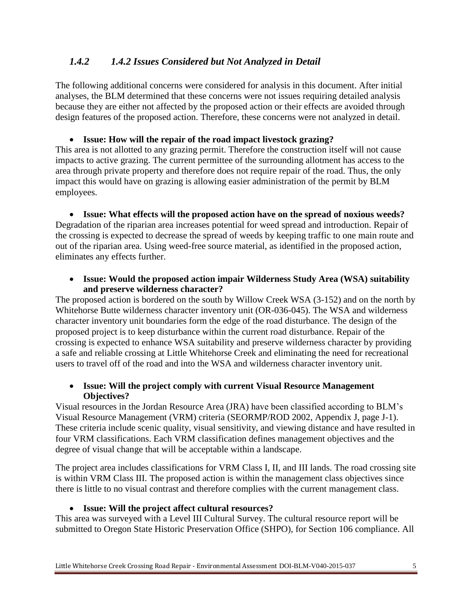#### *1.4.2 1.4.2 Issues Considered but Not Analyzed in Detail*

The following additional concerns were considered for analysis in this document. After initial analyses, the BLM determined that these concerns were not issues requiring detailed analysis because they are either not affected by the proposed action or their effects are avoided through design features of the proposed action. Therefore, these concerns were not analyzed in detail.

**Issue: How will the repair of the road impact livestock grazing?**

This area is not allotted to any grazing permit. Therefore the construction itself will not cause impacts to active grazing. The current permittee of the surrounding allotment has access to the area through private property and therefore does not require repair of the road. Thus, the only impact this would have on grazing is allowing easier administration of the permit by BLM employees.

 **Issue: What effects will the proposed action have on the spread of noxious weeds?** Degradation of the riparian area increases potential for weed spread and introduction. Repair of the crossing is expected to decrease the spread of weeds by keeping traffic to one main route and out of the riparian area. Using weed-free source material, as identified in the proposed action, eliminates any effects further.

#### **Issue: Would the proposed action impair Wilderness Study Area (WSA) suitability and preserve wilderness character?**

The proposed action is bordered on the south by Willow Creek WSA (3-152) and on the north by Whitehorse Butte wilderness character inventory unit (OR-036-045). The WSA and wilderness character inventory unit boundaries form the edge of the road disturbance. The design of the proposed project is to keep disturbance within the current road disturbance. Repair of the crossing is expected to enhance WSA suitability and preserve wilderness character by providing a safe and reliable crossing at Little Whitehorse Creek and eliminating the need for recreational users to travel off of the road and into the WSA and wilderness character inventory unit.

#### **Issue: Will the project comply with current Visual Resource Management Objectives?**

Visual resources in the Jordan Resource Area (JRA) have been classified according to BLM's Visual Resource Management (VRM) criteria (SEORMP/ROD 2002, Appendix J, page J-1). These criteria include scenic quality, visual sensitivity, and viewing distance and have resulted in four VRM classifications. Each VRM classification defines management objectives and the degree of visual change that will be acceptable within a landscape.

The project area includes classifications for VRM Class I, II, and III lands. The road crossing site is within VRM Class III. The proposed action is within the management class objectives since there is little to no visual contrast and therefore complies with the current management class.

#### **Issue: Will the project affect cultural resources?**

This area was surveyed with a Level III Cultural Survey. The cultural resource report will be submitted to Oregon State Historic Preservation Office (SHPO), for Section 106 compliance. All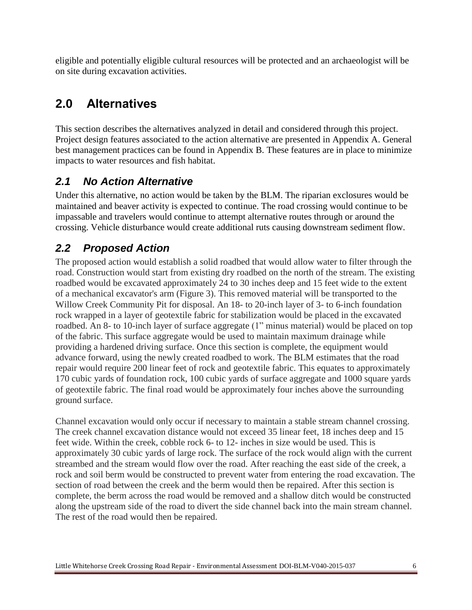eligible and potentially eligible cultural resources will be protected and an archaeologist will be on site during excavation activities.

# <span id="page-7-0"></span>**2.0 Alternatives**

This section describes the alternatives analyzed in detail and considered through this project. Project design features associated to the action alternative are presented in Appendix A. General best management practices can be found in Appendix B. These features are in place to minimize impacts to water resources and fish habitat.

## <span id="page-7-1"></span>*2.1 No Action Alternative*

Under this alternative, no action would be taken by the BLM. The riparian exclosures would be maintained and beaver activity is expected to continue. The road crossing would continue to be impassable and travelers would continue to attempt alternative routes through or around the crossing. Vehicle disturbance would create additional ruts causing downstream sediment flow.

## <span id="page-7-2"></span>*2.2 Proposed Action*

The proposed action would establish a solid roadbed that would allow water to filter through the road. Construction would start from existing dry roadbed on the north of the stream. The existing roadbed would be excavated approximately 24 to 30 inches deep and 15 feet wide to the extent of a mechanical excavator's arm (Figure 3). This removed material will be transported to the Willow Creek Community Pit for disposal. An 18- to 20-inch layer of 3- to 6-inch foundation rock wrapped in a layer of geotextile fabric for stabilization would be placed in the excavated roadbed. An 8- to 10-inch layer of surface aggregate (1" minus material) would be placed on top of the fabric. This surface aggregate would be used to maintain maximum drainage while providing a hardened driving surface. Once this section is complete, the equipment would advance forward, using the newly created roadbed to work. The BLM estimates that the road repair would require 200 linear feet of rock and geotextile fabric. This equates to approximately 170 cubic yards of foundation rock, 100 cubic yards of surface aggregate and 1000 square yards of geotextile fabric. The final road would be approximately four inches above the surrounding ground surface.

Channel excavation would only occur if necessary to maintain a stable stream channel crossing. The creek channel excavation distance would not exceed 35 linear feet, 18 inches deep and 15 feet wide. Within the creek, cobble rock 6- to 12- inches in size would be used. This is approximately 30 cubic yards of large rock. The surface of the rock would align with the current streambed and the stream would flow over the road. After reaching the east side of the creek, a rock and soil berm would be constructed to prevent water from entering the road excavation. The section of road between the creek and the berm would then be repaired. After this section is complete, the berm across the road would be removed and a shallow ditch would be constructed along the upstream side of the road to divert the side channel back into the main stream channel. The rest of the road would then be repaired.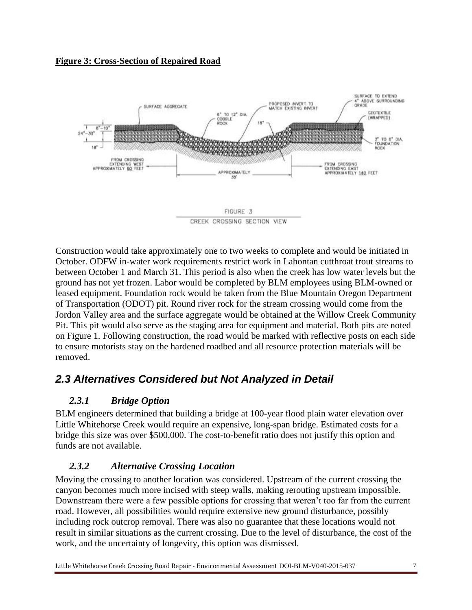<span id="page-8-1"></span>![](_page_8_Figure_0.jpeg)

![](_page_8_Figure_1.jpeg)

Construction would take approximately one to two weeks to complete and would be initiated in October. ODFW in-water work requirements restrict work in Lahontan cutthroat trout streams to between October 1 and March 31. This period is also when the creek has low water levels but the ground has not yet frozen. Labor would be completed by BLM employees using BLM-owned or leased equipment. Foundation rock would be taken from the Blue Mountain Oregon Department of Transportation (ODOT) pit. Round river rock for the stream crossing would come from the Jordon Valley area and the surface aggregate would be obtained at the Willow Creek Community Pit. This pit would also serve as the staging area for equipment and material. Both pits are noted on Figure 1. Following construction, the road would be marked with reflective posts on each side to ensure motorists stay on the hardened roadbed and all resource protection materials will be removed.

## <span id="page-8-0"></span>*2.3 Alternatives Considered but Not Analyzed in Detail*

### *2.3.1 Bridge Option*

BLM engineers determined that building a bridge at 100-year flood plain water elevation over Little Whitehorse Creek would require an expensive, long-span bridge. Estimated costs for a bridge this size was over \$500,000. The cost-to-benefit ratio does not justify this option and funds are not available.

#### *2.3.2 Alternative Crossing Location*

Moving the crossing to another location was considered. Upstream of the current crossing the canyon becomes much more incised with steep walls, making rerouting upstream impossible. Downstream there were a few possible options for crossing that weren't too far from the current road. However, all possibilities would require extensive new ground disturbance, possibly including rock outcrop removal. There was also no guarantee that these locations would not result in similar situations as the current crossing. Due to the level of disturbance, the cost of the work, and the uncertainty of longevity, this option was dismissed.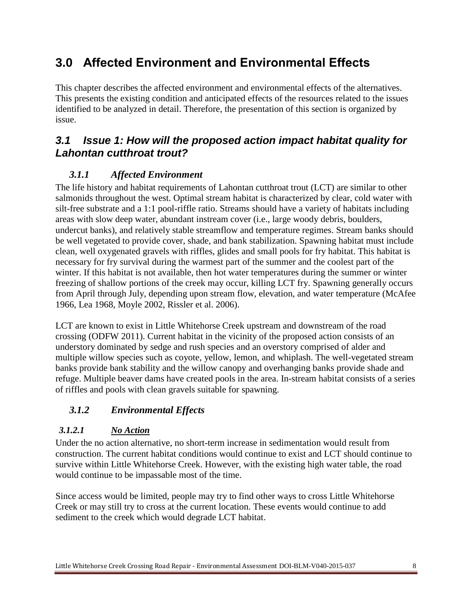# <span id="page-9-0"></span>**3.0 Affected Environment and Environmental Effects**

This chapter describes the affected environment and environmental effects of the alternatives. This presents the existing condition and anticipated effects of the resources related to the issues identified to be analyzed in detail. Therefore, the presentation of this section is organized by issue.

## <span id="page-9-1"></span>*3.1 Issue 1: How will the proposed action impact habitat quality for Lahontan cutthroat trout?*

#### *3.1.1 Affected Environment*

The life history and habitat requirements of Lahontan cutthroat trout (LCT) are similar to other salmonids throughout the west. Optimal stream habitat is characterized by clear, cold water with silt-free substrate and a 1:1 pool-riffle ratio. Streams should have a variety of habitats including areas with slow deep water, abundant instream cover (i.e., large woody debris, boulders, undercut banks), and relatively stable streamflow and temperature regimes. Stream banks should be well vegetated to provide cover, shade, and bank stabilization. Spawning habitat must include clean, well oxygenated gravels with riffles, glides and small pools for fry habitat. This habitat is necessary for fry survival during the warmest part of the summer and the coolest part of the winter. If this habitat is not available, then hot water temperatures during the summer or winter freezing of shallow portions of the creek may occur, killing LCT fry. Spawning generally occurs from April through July, depending upon stream flow, elevation, and water temperature (McAfee 1966, Lea 1968, Moyle 2002, Rissler et al. 2006).

LCT are known to exist in Little Whitehorse Creek upstream and downstream of the road crossing (ODFW 2011). Current habitat in the vicinity of the proposed action consists of an understory dominated by sedge and rush species and an overstory comprised of alder and multiple willow species such as coyote, yellow, lemon, and whiplash. The well-vegetated stream banks provide bank stability and the willow canopy and overhanging banks provide shade and refuge. Multiple beaver dams have created pools in the area. In-stream habitat consists of a series of riffles and pools with clean gravels suitable for spawning.

### *3.1.2 Environmental Effects*

#### *3.1.2.1 No Action*

Under the no action alternative, no short-term increase in sedimentation would result from construction. The current habitat conditions would continue to exist and LCT should continue to survive within Little Whitehorse Creek. However, with the existing high water table, the road would continue to be impassable most of the time.

Since access would be limited, people may try to find other ways to cross Little Whitehorse Creek or may still try to cross at the current location. These events would continue to add sediment to the creek which would degrade LCT habitat.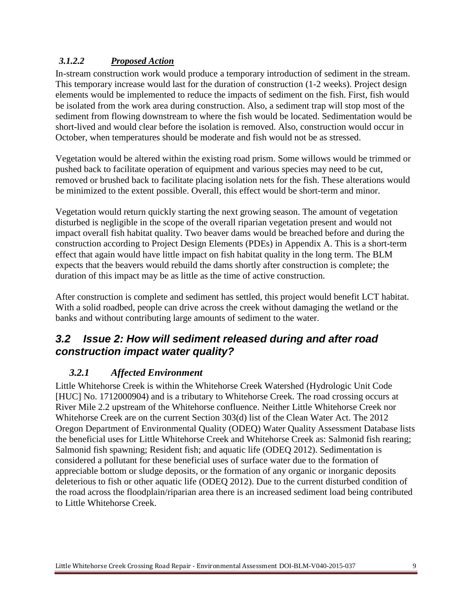#### *3.1.2.2 Proposed Action*

In-stream construction work would produce a temporary introduction of sediment in the stream. This temporary increase would last for the duration of construction (1-2 weeks). Project design elements would be implemented to reduce the impacts of sediment on the fish. First, fish would be isolated from the work area during construction. Also, a sediment trap will stop most of the sediment from flowing downstream to where the fish would be located. Sedimentation would be short-lived and would clear before the isolation is removed. Also, construction would occur in October, when temperatures should be moderate and fish would not be as stressed.

Vegetation would be altered within the existing road prism. Some willows would be trimmed or pushed back to facilitate operation of equipment and various species may need to be cut, removed or brushed back to facilitate placing isolation nets for the fish. These alterations would be minimized to the extent possible. Overall, this effect would be short-term and minor.

Vegetation would return quickly starting the next growing season. The amount of vegetation disturbed is negligible in the scope of the overall riparian vegetation present and would not impact overall fish habitat quality. Two beaver dams would be breached before and during the construction according to Project Design Elements (PDEs) in Appendix A. This is a short-term effect that again would have little impact on fish habitat quality in the long term. The BLM expects that the beavers would rebuild the dams shortly after construction is complete; the duration of this impact may be as little as the time of active construction.

After construction is complete and sediment has settled, this project would benefit LCT habitat. With a solid roadbed, people can drive across the creek without damaging the wetland or the banks and without contributing large amounts of sediment to the water.

## <span id="page-10-0"></span>*3.2 Issue 2: How will sediment released during and after road construction impact water quality?*

#### *3.2.1 Affected Environment*

Little Whitehorse Creek is within the Whitehorse Creek Watershed (Hydrologic Unit Code [HUC] No. 1712000904) and is a tributary to Whitehorse Creek. The road crossing occurs at River Mile 2.2 upstream of the Whitehorse confluence. Neither Little Whitehorse Creek nor Whitehorse Creek are on the current Section 303(d) list of the Clean Water Act. The 2012 Oregon Department of Environmental Quality (ODEQ) Water Quality Assessment Database lists the beneficial uses for Little Whitehorse Creek and Whitehorse Creek as: Salmonid fish rearing; Salmonid fish spawning; Resident fish; and aquatic life (ODEQ 2012). Sedimentation is considered a pollutant for these beneficial uses of surface water due to the formation of appreciable bottom or sludge deposits, or the formation of any organic or inorganic deposits deleterious to fish or other aquatic life (ODEQ 2012). Due to the current disturbed condition of the road across the floodplain/riparian area there is an increased sediment load being contributed to Little Whitehorse Creek.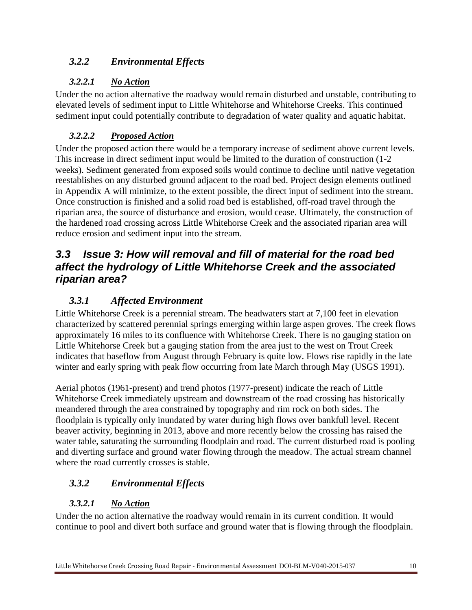#### *3.2.2 Environmental Effects*

#### *3.2.2.1 No Action*

Under the no action alternative the roadway would remain disturbed and unstable, contributing to elevated levels of sediment input to Little Whitehorse and Whitehorse Creeks. This continued sediment input could potentially contribute to degradation of water quality and aquatic habitat.

#### *3.2.2.2 Proposed Action*

Under the proposed action there would be a temporary increase of sediment above current levels. This increase in direct sediment input would be limited to the duration of construction (1-2 weeks). Sediment generated from exposed soils would continue to decline until native vegetation reestablishes on any disturbed ground adjacent to the road bed. Project design elements outlined in Appendix A will minimize, to the extent possible, the direct input of sediment into the stream. Once construction is finished and a solid road bed is established, off-road travel through the riparian area, the source of disturbance and erosion, would cease. Ultimately, the construction of the hardened road crossing across Little Whitehorse Creek and the associated riparian area will reduce erosion and sediment input into the stream.

## <span id="page-11-0"></span>*3.3 Issue 3: How will removal and fill of material for the road bed affect the hydrology of Little Whitehorse Creek and the associated riparian area?*

## *3.3.1 Affected Environment*

Little Whitehorse Creek is a perennial stream. The headwaters start at 7,100 feet in elevation characterized by scattered perennial springs emerging within large aspen groves. The creek flows approximately 16 miles to its confluence with Whitehorse Creek. There is no gauging station on Little Whitehorse Creek but a gauging station from the area just to the west on Trout Creek indicates that baseflow from August through February is quite low. Flows rise rapidly in the late winter and early spring with peak flow occurring from late March through May (USGS 1991).

Aerial photos (1961-present) and trend photos (1977-present) indicate the reach of Little Whitehorse Creek immediately upstream and downstream of the road crossing has historically meandered through the area constrained by topography and rim rock on both sides. The floodplain is typically only inundated by water during high flows over bankfull level. Recent beaver activity, beginning in 2013, above and more recently below the crossing has raised the water table, saturating the surrounding floodplain and road. The current disturbed road is pooling and diverting surface and ground water flowing through the meadow. The actual stream channel where the road currently crosses is stable.

### *3.3.2 Environmental Effects*

### *3.3.2.1 No Action*

Under the no action alternative the roadway would remain in its current condition. It would continue to pool and divert both surface and ground water that is flowing through the floodplain.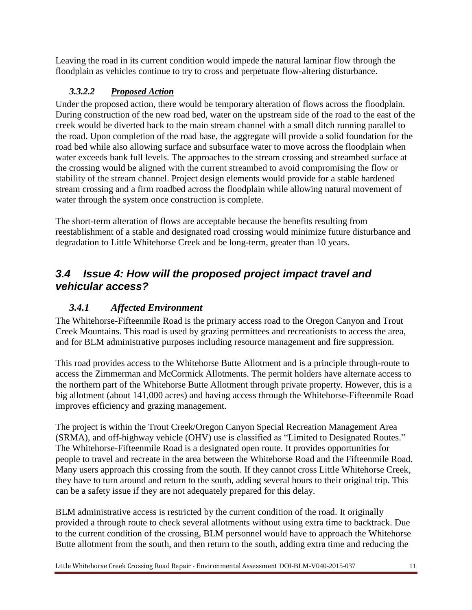Leaving the road in its current condition would impede the natural laminar flow through the floodplain as vehicles continue to try to cross and perpetuate flow-altering disturbance.

#### *3.3.2.2 Proposed Action*

Under the proposed action, there would be temporary alteration of flows across the floodplain. During construction of the new road bed, water on the upstream side of the road to the east of the creek would be diverted back to the main stream channel with a small ditch running parallel to the road. Upon completion of the road base, the aggregate will provide a solid foundation for the road bed while also allowing surface and subsurface water to move across the floodplain when water exceeds bank full levels. The approaches to the stream crossing and streambed surface at the crossing would be aligned with the current streambed to avoid compromising the flow or stability of the stream channel. Project design elements would provide for a stable hardened stream crossing and a firm roadbed across the floodplain while allowing natural movement of water through the system once construction is complete.

The short-term alteration of flows are acceptable because the benefits resulting from reestablishment of a stable and designated road crossing would minimize future disturbance and degradation to Little Whitehorse Creek and be long-term, greater than 10 years.

### <span id="page-12-0"></span>*3.4 Issue 4: How will the proposed project impact travel and vehicular access?*

#### *3.4.1 Affected Environment*

The Whitehorse-Fifteenmile Road is the primary access road to the Oregon Canyon and Trout Creek Mountains. This road is used by grazing permittees and recreationists to access the area, and for BLM administrative purposes including resource management and fire suppression.

This road provides access to the Whitehorse Butte Allotment and is a principle through-route to access the Zimmerman and McCormick Allotments. The permit holders have alternate access to the northern part of the Whitehorse Butte Allotment through private property. However, this is a big allotment (about 141,000 acres) and having access through the Whitehorse-Fifteenmile Road improves efficiency and grazing management.

The project is within the Trout Creek/Oregon Canyon Special Recreation Management Area (SRMA), and off-highway vehicle (OHV) use is classified as "Limited to Designated Routes." The Whitehorse-Fifteenmile Road is a designated open route. It provides opportunities for people to travel and recreate in the area between the Whitehorse Road and the Fifteenmile Road. Many users approach this crossing from the south. If they cannot cross Little Whitehorse Creek, they have to turn around and return to the south, adding several hours to their original trip. This can be a safety issue if they are not adequately prepared for this delay.

BLM administrative access is restricted by the current condition of the road. It originally provided a through route to check several allotments without using extra time to backtrack. Due to the current condition of the crossing, BLM personnel would have to approach the Whitehorse Butte allotment from the south, and then return to the south, adding extra time and reducing the

Little Whitehorse Creek Crossing Road Repair - Environmental Assessment DOI-BLM-V040-2015-037 11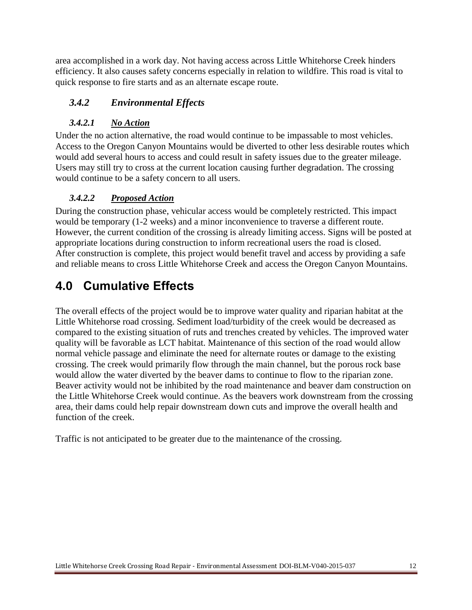area accomplished in a work day. Not having access across Little Whitehorse Creek hinders efficiency. It also causes safety concerns especially in relation to wildfire. This road is vital to quick response to fire starts and as an alternate escape route.

#### *3.4.2 Environmental Effects*

#### *3.4.2.1 No Action*

Under the no action alternative, the road would continue to be impassable to most vehicles. Access to the Oregon Canyon Mountains would be diverted to other less desirable routes which would add several hours to access and could result in safety issues due to the greater mileage. Users may still try to cross at the current location causing further degradation. The crossing would continue to be a safety concern to all users.

#### *3.4.2.2 Proposed Action*

During the construction phase, vehicular access would be completely restricted. This impact would be temporary (1-2 weeks) and a minor inconvenience to traverse a different route. However, the current condition of the crossing is already limiting access. Signs will be posted at appropriate locations during construction to inform recreational users the road is closed. After construction is complete, this project would benefit travel and access by providing a safe and reliable means to cross Little Whitehorse Creek and access the Oregon Canyon Mountains.

# <span id="page-13-0"></span>**4.0 Cumulative Effects**

The overall effects of the project would be to improve water quality and riparian habitat at the Little Whitehorse road crossing. Sediment load/turbidity of the creek would be decreased as compared to the existing situation of ruts and trenches created by vehicles. The improved water quality will be favorable as LCT habitat. Maintenance of this section of the road would allow normal vehicle passage and eliminate the need for alternate routes or damage to the existing crossing. The creek would primarily flow through the main channel, but the porous rock base would allow the water diverted by the beaver dams to continue to flow to the riparian zone. Beaver activity would not be inhibited by the road maintenance and beaver dam construction on the Little Whitehorse Creek would continue. As the beavers work downstream from the crossing area, their dams could help repair downstream down cuts and improve the overall health and function of the creek.

Traffic is not anticipated to be greater due to the maintenance of the crossing.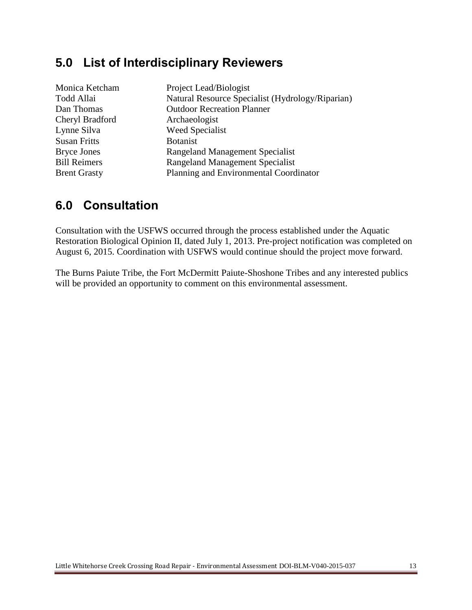## <span id="page-14-0"></span>**5.0 List of Interdisciplinary Reviewers**

| Project Lead/Biologist                           |
|--------------------------------------------------|
| Natural Resource Specialist (Hydrology/Riparian) |
| <b>Outdoor Recreation Planner</b>                |
| Archaeologist                                    |
| Weed Specialist                                  |
| <b>Botanist</b>                                  |
| <b>Rangeland Management Specialist</b>           |
| <b>Rangeland Management Specialist</b>           |
| Planning and Environmental Coordinator           |
|                                                  |

## <span id="page-14-1"></span>**6.0 Consultation**

Consultation with the USFWS occurred through the process established under the Aquatic Restoration Biological Opinion II, dated July 1, 2013. Pre-project notification was completed on August 6, 2015. Coordination with USFWS would continue should the project move forward.

The Burns Paiute Tribe, the Fort McDermitt Paiute-Shoshone Tribes and any interested publics will be provided an opportunity to comment on this environmental assessment.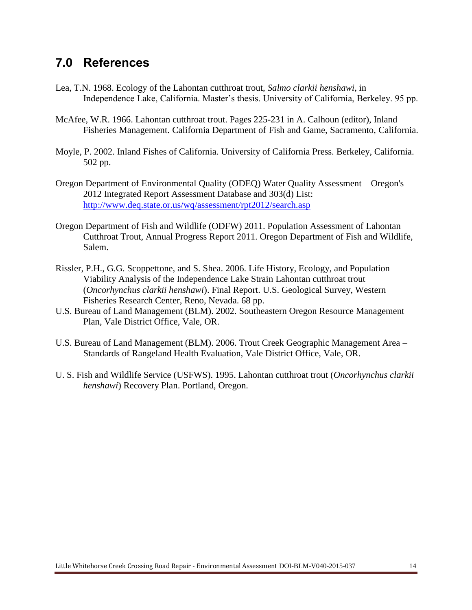## <span id="page-15-0"></span>**7.0 References**

- Lea, T.N. 1968. Ecology of the Lahontan cutthroat trout, *Salmo clarkii henshawi*, in Independence Lake, California. Master's thesis. University of California, Berkeley. 95 pp.
- McAfee, W.R. 1966. Lahontan cutthroat trout. Pages 225-231 in A. Calhoun (editor), Inland Fisheries Management. California Department of Fish and Game, Sacramento, California.
- Moyle, P. 2002. Inland Fishes of California. University of California Press. Berkeley, California. 502 pp.
- Oregon Department of Environmental Quality (ODEQ) Water Quality Assessment Oregon's 2012 Integrated Report Assessment Database and 303(d) List: <http://www.deq.state.or.us/wq/assessment/rpt2012/search.asp>
- Oregon Department of Fish and Wildlife (ODFW) 2011. Population Assessment of Lahontan Cutthroat Trout, Annual Progress Report 2011. Oregon Department of Fish and Wildlife, Salem.
- Rissler, P.H., G.G. Scoppettone, and S. Shea. 2006. Life History, Ecology, and Population Viability Analysis of the Independence Lake Strain Lahontan cutthroat trout (*Oncorhynchus clarkii henshawi*). Final Report. U.S. Geological Survey, Western Fisheries Research Center, Reno, Nevada. 68 pp.
- U.S. Bureau of Land Management (BLM). 2002. Southeastern Oregon Resource Management Plan, Vale District Office, Vale, OR.
- U.S. Bureau of Land Management (BLM). 2006. Trout Creek Geographic Management Area Standards of Rangeland Health Evaluation, Vale District Office, Vale, OR.
- U. S. Fish and Wildlife Service (USFWS). 1995. Lahontan cutthroat trout (*Oncorhynchus clarkii henshawi*) Recovery Plan. Portland, Oregon.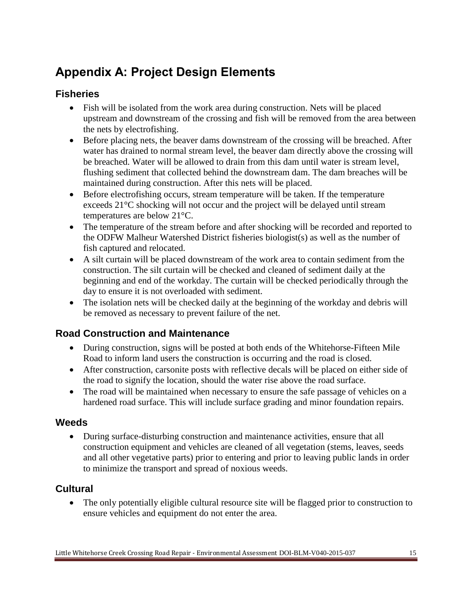# <span id="page-16-0"></span>**Appendix A: Project Design Elements**

### <span id="page-16-1"></span>**Fisheries**

- Fish will be isolated from the work area during construction. Nets will be placed upstream and downstream of the crossing and fish will be removed from the area between the nets by electrofishing.
- Before placing nets, the beaver dams downstream of the crossing will be breached. After water has drained to normal stream level, the beaver dam directly above the crossing will be breached. Water will be allowed to drain from this dam until water is stream level, flushing sediment that collected behind the downstream dam. The dam breaches will be maintained during construction. After this nets will be placed.
- Before electrofishing occurs, stream temperature will be taken. If the temperature exceeds 21°C shocking will not occur and the project will be delayed until stream temperatures are below 21°C.
- The temperature of the stream before and after shocking will be recorded and reported to the ODFW Malheur Watershed District fisheries biologist(s) as well as the number of fish captured and relocated.
- A silt curtain will be placed downstream of the work area to contain sediment from the construction. The silt curtain will be checked and cleaned of sediment daily at the beginning and end of the workday. The curtain will be checked periodically through the day to ensure it is not overloaded with sediment.
- The isolation nets will be checked daily at the beginning of the workday and debris will be removed as necessary to prevent failure of the net.

## <span id="page-16-2"></span>**Road Construction and Maintenance**

- During construction, signs will be posted at both ends of the Whitehorse-Fifteen Mile Road to inform land users the construction is occurring and the road is closed.
- After construction, carsonite posts with reflective decals will be placed on either side of the road to signify the location, should the water rise above the road surface.
- The road will be maintained when necessary to ensure the safe passage of vehicles on a hardened road surface. This will include surface grading and minor foundation repairs.

#### <span id="page-16-3"></span>**Weeds**

 During surface-disturbing construction and maintenance activities, ensure that all construction equipment and vehicles are cleaned of all vegetation (stems, leaves, seeds and all other vegetative parts) prior to entering and prior to leaving public lands in order to minimize the transport and spread of noxious weeds.

## <span id="page-16-4"></span>**Cultural**

• The only potentially eligible cultural resource site will be flagged prior to construction to ensure vehicles and equipment do not enter the area.